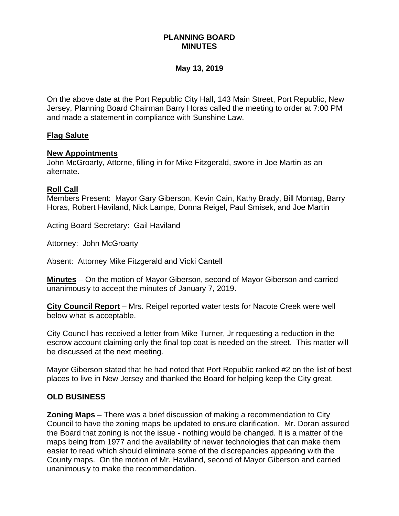# **PLANNING BOARD MINUTES**

# **May 13, 2019**

On the above date at the Port Republic City Hall, 143 Main Street, Port Republic, New Jersey, Planning Board Chairman Barry Horas called the meeting to order at 7:00 PM and made a statement in compliance with Sunshine Law.

## **Flag Salute**

#### **New Appointments**

John McGroarty, Attorne, filling in for Mike Fitzgerald, swore in Joe Martin as an alternate.

#### **Roll Call**

Members Present: Mayor Gary Giberson, Kevin Cain, Kathy Brady, Bill Montag, Barry Horas, Robert Haviland, Nick Lampe, Donna Reigel, Paul Smisek, and Joe Martin

Acting Board Secretary: Gail Haviland

Attorney: John McGroarty

Absent: Attorney Mike Fitzgerald and Vicki Cantell

**Minutes** – On the motion of Mayor Giberson, second of Mayor Giberson and carried unanimously to accept the minutes of January 7, 2019.

**City Council Report** – Mrs. Reigel reported water tests for Nacote Creek were well below what is acceptable.

City Council has received a letter from Mike Turner, Jr requesting a reduction in the escrow account claiming only the final top coat is needed on the street. This matter will be discussed at the next meeting.

Mayor Giberson stated that he had noted that Port Republic ranked #2 on the list of best places to live in New Jersey and thanked the Board for helping keep the City great.

#### **OLD BUSINESS**

**Zoning Maps** – There was a brief discussion of making a recommendation to City Council to have the zoning maps be updated to ensure clarification. Mr. Doran assured the Board that zoning is not the issue - nothing would be changed. It is a matter of the maps being from 1977 and the availability of newer technologies that can make them easier to read which should eliminate some of the discrepancies appearing with the County maps. On the motion of Mr. Haviland, second of Mayor Giberson and carried unanimously to make the recommendation.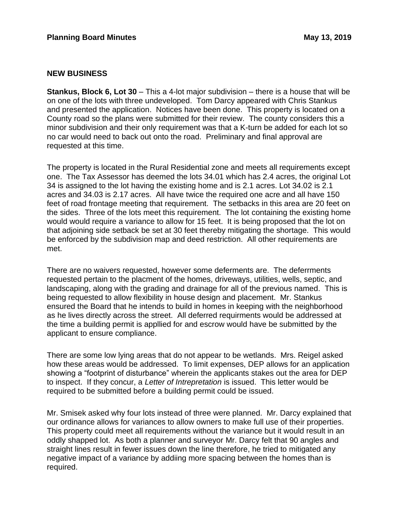#### **NEW BUSINESS**

**Stankus, Block 6, Lot 30** – This a 4-lot major subdivision – there is a house that will be on one of the lots with three undeveloped. Tom Darcy appeared with Chris Stankus and presented the application. Notices have been done. This property is located on a County road so the plans were submitted for their review. The county considers this a minor subdivision and their only requirement was that a K-turn be added for each lot so no car would need to back out onto the road. Preliminary and final approval are requested at this time.

The property is located in the Rural Residential zone and meets all requirements except one. The Tax Assessor has deemed the lots 34.01 which has 2.4 acres, the original Lot 34 is assigned to the lot having the existing home and is 2.1 acres. Lot 34.02 is 2.1 acres and 34.03 is 2.17 acres. All have twice the required one acre and all have 150 feet of road frontage meeting that requirement. The setbacks in this area are 20 feet on the sides. Three of the lots meet this requirement. The lot containing the existing home would would require a variance to allow for 15 feet. It is being proposed that the lot on that adjoining side setback be set at 30 feet thereby mitigating the shortage. This would be enforced by the subdivision map and deed restriction. All other requirements are met.

There are no waivers requested, however some deferments are. The deferrments requested pertain to the placment of the homes, driveways, utilities, wells, septic, and landscaping, along with the grading and drainage for all of the previous named. This is being requested to allow flexibility in house design and placement. Mr. Stankus ensured the Board that he intends to build in homes in keeping with the neighborhood as he lives directly across the street. All deferred requirments would be addressed at the time a building permit is appllied for and escrow would have be submitted by the applicant to ensure compliance.

There are some low lying areas that do not appear to be wetlands. Mrs. Reigel asked how these areas would be addressed. To limit expenses, DEP allows for an application showing a "footprint of disturbance" wherein the applicants stakes out the area for DEP to inspect. If they concur, a *Letter of Intrepretation* is issued. This letter would be required to be submitted before a building permit could be issued.

Mr. Smisek asked why four lots instead of three were planned. Mr. Darcy explained that our ordinance allows for variances to allow owners to make full use of their properties. This property could meet all requirements without the variance but it would result in an oddly shapped lot. As both a planner and surveyor Mr. Darcy felt that 90 angles and straight lines result in fewer issues down the line therefore, he tried to mitigated any negative impact of a variance by addiing more spacing between the homes than is required.